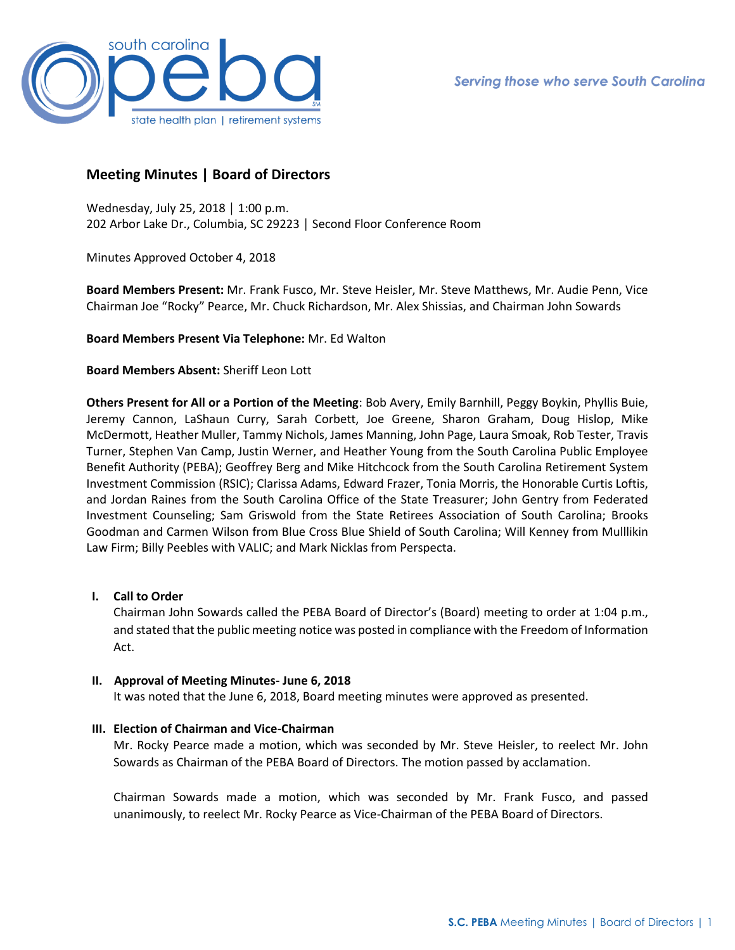

# **Meeting Minutes | Board of Directors**

Wednesday, July 25, 2018 │ 1:00 p.m. 202 Arbor Lake Dr., Columbia, SC 29223 │ Second Floor Conference Room

Minutes Approved October 4, 2018

**Board Members Present:** Mr. Frank Fusco, Mr. Steve Heisler, Mr. Steve Matthews, Mr. Audie Penn, Vice Chairman Joe "Rocky" Pearce, Mr. Chuck Richardson, Mr. Alex Shissias, and Chairman John Sowards

**Board Members Present Via Telephone:** Mr. Ed Walton

### **Board Members Absent:** Sheriff Leon Lott

**Others Present for All or a Portion of the Meeting**: Bob Avery, Emily Barnhill, Peggy Boykin, Phyllis Buie, Jeremy Cannon, LaShaun Curry, Sarah Corbett, Joe Greene, Sharon Graham, Doug Hislop, Mike McDermott, Heather Muller, Tammy Nichols, James Manning, John Page, Laura Smoak, Rob Tester, Travis Turner, Stephen Van Camp, Justin Werner, and Heather Young from the South Carolina Public Employee Benefit Authority (PEBA); Geoffrey Berg and Mike Hitchcock from the South Carolina Retirement System Investment Commission (RSIC); Clarissa Adams, Edward Frazer, Tonia Morris, the Honorable Curtis Loftis, and Jordan Raines from the South Carolina Office of the State Treasurer; John Gentry from Federated Investment Counseling; Sam Griswold from the State Retirees Association of South Carolina; Brooks Goodman and Carmen Wilson from Blue Cross Blue Shield of South Carolina; Will Kenney from Mulllikin Law Firm; Billy Peebles with VALIC; and Mark Nicklas from Perspecta.

**I. Call to Order**

Chairman John Sowards called the PEBA Board of Director's (Board) meeting to order at 1:04 p.m., and stated that the public meeting notice was posted in compliance with the Freedom of Information Act.

#### **II. Approval of Meeting Minutes- June 6, 2018**

It was noted that the June 6, 2018, Board meeting minutes were approved as presented.

### **III. Election of Chairman and Vice-Chairman**

Mr. Rocky Pearce made a motion, which was seconded by Mr. Steve Heisler, to reelect Mr. John Sowards as Chairman of the PEBA Board of Directors. The motion passed by acclamation.

Chairman Sowards made a motion, which was seconded by Mr. Frank Fusco, and passed unanimously, to reelect Mr. Rocky Pearce as Vice-Chairman of the PEBA Board of Directors.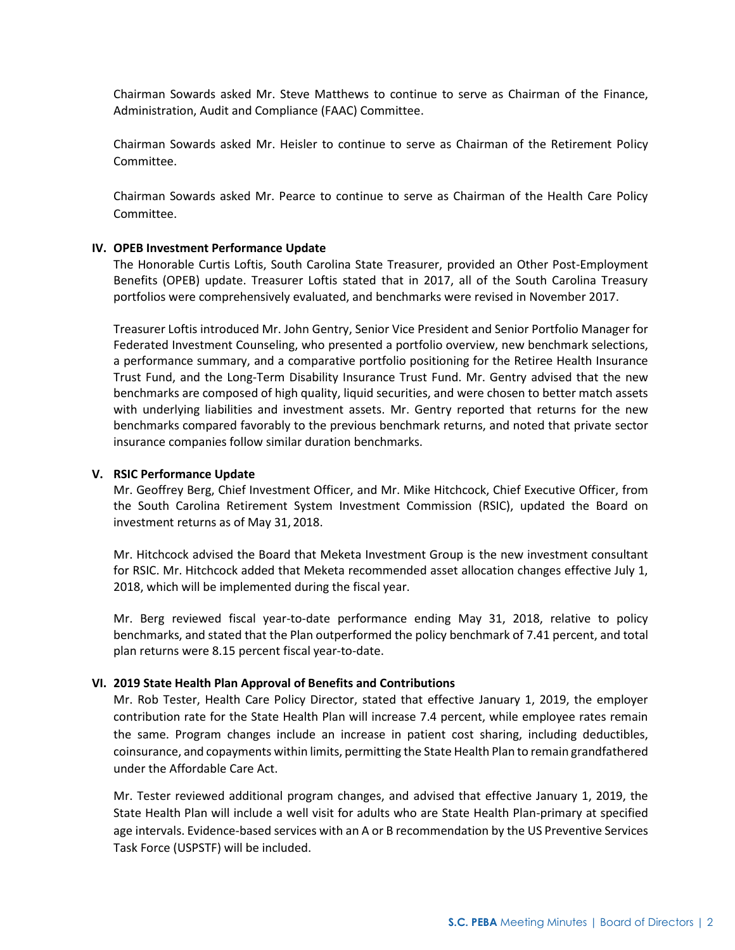Chairman Sowards asked Mr. Steve Matthews to continue to serve as Chairman of the Finance, Administration, Audit and Compliance (FAAC) Committee.

Chairman Sowards asked Mr. Heisler to continue to serve as Chairman of the Retirement Policy Committee.

Chairman Sowards asked Mr. Pearce to continue to serve as Chairman of the Health Care Policy Committee.

#### **IV. OPEB Investment Performance Update**

The Honorable Curtis Loftis, South Carolina State Treasurer, provided an Other Post-Employment Benefits (OPEB) update. Treasurer Loftis stated that in 2017, all of the South Carolina Treasury portfolios were comprehensively evaluated, and benchmarks were revised in November 2017.

Treasurer Loftis introduced Mr. John Gentry, Senior Vice President and Senior Portfolio Manager for Federated Investment Counseling, who presented a portfolio overview, new benchmark selections, a performance summary, and a comparative portfolio positioning for the Retiree Health Insurance Trust Fund, and the Long-Term Disability Insurance Trust Fund. Mr. Gentry advised that the new benchmarks are composed of high quality, liquid securities, and were chosen to better match assets with underlying liabilities and investment assets. Mr. Gentry reported that returns for the new benchmarks compared favorably to the previous benchmark returns, and noted that private sector insurance companies follow similar duration benchmarks.

#### **V. RSIC Performance Update**

Mr. Geoffrey Berg, Chief Investment Officer, and Mr. Mike Hitchcock, Chief Executive Officer, from the South Carolina Retirement System Investment Commission (RSIC), updated the Board on investment returns as of May 31, 2018.

Mr. Hitchcock advised the Board that Meketa Investment Group is the new investment consultant for RSIC. Mr. Hitchcock added that Meketa recommended asset allocation changes effective July 1, 2018, which will be implemented during the fiscal year.

Mr. Berg reviewed fiscal year-to-date performance ending May 31, 2018, relative to policy benchmarks, and stated that the Plan outperformed the policy benchmark of 7.41 percent, and total plan returns were 8.15 percent fiscal year-to-date.

#### **VI. 2019 State Health Plan Approval of Benefits and Contributions**

Mr. Rob Tester, Health Care Policy Director, stated that effective January 1, 2019, the employer contribution rate for the State Health Plan will increase 7.4 percent, while employee rates remain the same. Program changes include an increase in patient cost sharing, including deductibles, coinsurance, and copayments within limits, permitting the State Health Plan to remain grandfathered under the Affordable Care Act.

Mr. Tester reviewed additional program changes, and advised that effective January 1, 2019, the State Health Plan will include a well visit for adults who are State Health Plan-primary at specified age intervals. Evidence-based services with an A or B recommendation by the US Preventive Services Task Force (USPSTF) will be included.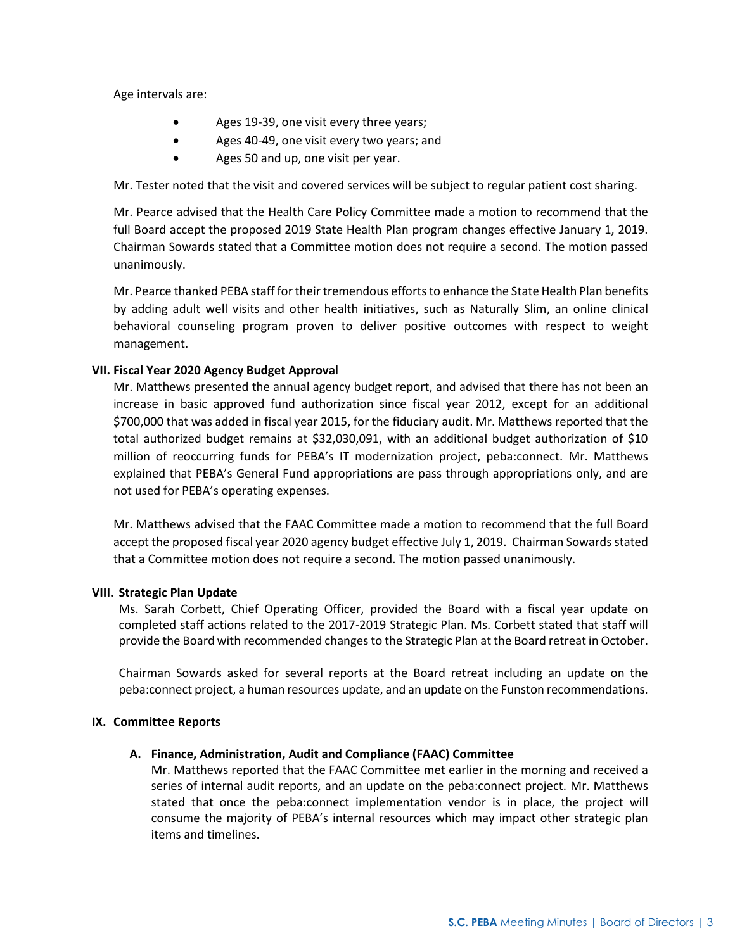Age intervals are:

- Ages 19-39, one visit every three years;
- Ages 40-49, one visit every two years; and
- Ages 50 and up, one visit per year.

Mr. Tester noted that the visit and covered services will be subject to regular patient cost sharing.

Mr. Pearce advised that the Health Care Policy Committee made a motion to recommend that the full Board accept the proposed 2019 State Health Plan program changes effective January 1, 2019. Chairman Sowards stated that a Committee motion does not require a second. The motion passed unanimously.

Mr. Pearce thanked PEBA staff for their tremendous efforts to enhance the State Health Plan benefits by adding adult well visits and other health initiatives, such as Naturally Slim, an online clinical behavioral counseling program proven to deliver positive outcomes with respect to weight management.

### **VII. Fiscal Year 2020 Agency Budget Approval**

Mr. Matthews presented the annual agency budget report, and advised that there has not been an increase in basic approved fund authorization since fiscal year 2012, except for an additional \$700,000 that was added in fiscal year 2015, for the fiduciary audit. Mr. Matthews reported that the total authorized budget remains at \$32,030,091, with an additional budget authorization of \$10 million of reoccurring funds for PEBA's IT modernization project, peba:connect. Mr. Matthews explained that PEBA's General Fund appropriations are pass through appropriations only, and are not used for PEBA's operating expenses.

Mr. Matthews advised that the FAAC Committee made a motion to recommend that the full Board accept the proposed fiscal year 2020 agency budget effective July 1, 2019. Chairman Sowards stated that a Committee motion does not require a second. The motion passed unanimously.

#### **VIII. Strategic Plan Update**

Ms. Sarah Corbett, Chief Operating Officer, provided the Board with a fiscal year update on completed staff actions related to the 2017-2019 Strategic Plan. Ms. Corbett stated that staff will provide the Board with recommended changes to the Strategic Plan at the Board retreat in October.

Chairman Sowards asked for several reports at the Board retreat including an update on the peba:connect project, a human resources update, and an update on the Funston recommendations.

#### **IX. Committee Reports**

#### **A. Finance, Administration, Audit and Compliance (FAAC) Committee**

Mr. Matthews reported that the FAAC Committee met earlier in the morning and received a series of internal audit reports, and an update on the peba:connect project. Mr. Matthews stated that once the peba:connect implementation vendor is in place, the project will consume the majority of PEBA's internal resources which may impact other strategic plan items and timelines.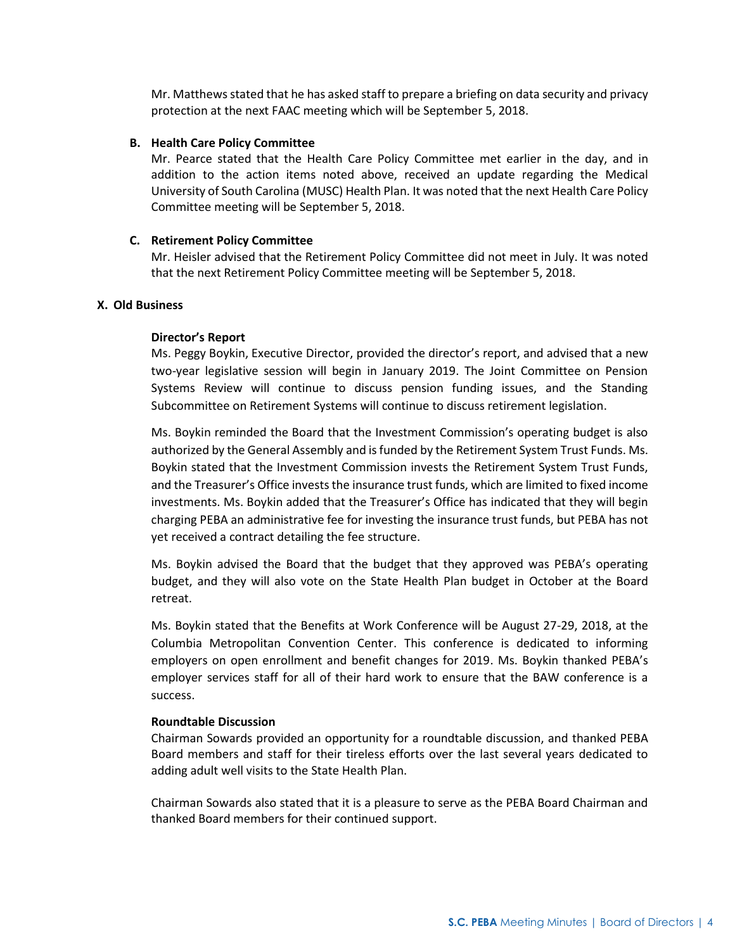Mr. Matthews stated that he has asked staff to prepare a briefing on data security and privacy protection at the next FAAC meeting which will be September 5, 2018.

#### **B. Health Care Policy Committee**

Mr. Pearce stated that the Health Care Policy Committee met earlier in the day, and in addition to the action items noted above, received an update regarding the Medical University of South Carolina (MUSC) Health Plan. It was noted that the next Health Care Policy Committee meeting will be September 5, 2018.

#### **C. Retirement Policy Committee**

Mr. Heisler advised that the Retirement Policy Committee did not meet in July. It was noted that the next Retirement Policy Committee meeting will be September 5, 2018.

### **X. Old Business**

#### **Director's Report**

Ms. Peggy Boykin, Executive Director, provided the director's report, and advised that a new two-year legislative session will begin in January 2019. The Joint Committee on Pension Systems Review will continue to discuss pension funding issues, and the Standing Subcommittee on Retirement Systems will continue to discuss retirement legislation.

Ms. Boykin reminded the Board that the Investment Commission's operating budget is also authorized by the General Assembly and is funded by the Retirement System Trust Funds. Ms. Boykin stated that the Investment Commission invests the Retirement System Trust Funds, and the Treasurer's Office invests the insurance trust funds, which are limited to fixed income investments. Ms. Boykin added that the Treasurer's Office has indicated that they will begin charging PEBA an administrative fee for investing the insurance trust funds, but PEBA has not yet received a contract detailing the fee structure.

Ms. Boykin advised the Board that the budget that they approved was PEBA's operating budget, and they will also vote on the State Health Plan budget in October at the Board retreat.

Ms. Boykin stated that the Benefits at Work Conference will be August 27-29, 2018, at the Columbia Metropolitan Convention Center. This conference is dedicated to informing employers on open enrollment and benefit changes for 2019. Ms. Boykin thanked PEBA's employer services staff for all of their hard work to ensure that the BAW conference is a success.

#### **Roundtable Discussion**

Chairman Sowards provided an opportunity for a roundtable discussion, and thanked PEBA Board members and staff for their tireless efforts over the last several years dedicated to adding adult well visits to the State Health Plan.

Chairman Sowards also stated that it is a pleasure to serve as the PEBA Board Chairman and thanked Board members for their continued support.